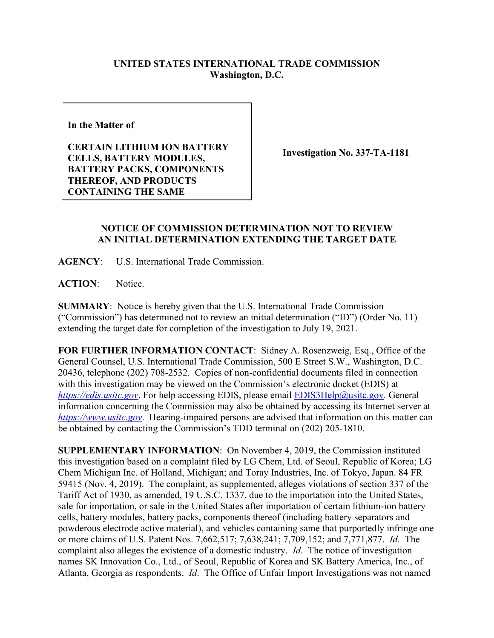## **UNITED STATES INTERNATIONAL TRADE COMMISSION Washington, D.C.**

**In the Matter of** 

**CERTAIN LITHIUM ION BATTERY CELLS, BATTERY MODULES, BATTERY PACKS, COMPONENTS THEREOF, AND PRODUCTS CONTAINING THE SAME**

**Investigation No. 337-TA-1181**

## **NOTICE OF COMMISSION DETERMINATION NOT TO REVIEW AN INITIAL DETERMINATION EXTENDING THE TARGET DATE**

**AGENCY**: U.S. International Trade Commission.

**ACTION**: Notice.

**SUMMARY**: Notice is hereby given that the U.S. International Trade Commission ("Commission") has determined not to review an initial determination ("ID") (Order No. 11) extending the target date for completion of the investigation to July 19, 2021.

**FOR FURTHER INFORMATION CONTACT**: Sidney A. Rosenzweig, Esq., Office of the General Counsel, U.S. International Trade Commission, 500 E Street S.W., Washington, D.C. 20436, telephone (202) 708-2532. Copies of non-confidential documents filed in connection with this investigation may be viewed on the Commission's electronic docket (EDIS) at *[https://edis.usitc.gov](https://edis.usitc.gov/).* For help accessing EDIS, please email [EDIS3Help@usitc.gov.](mailto:EDIS3Help@usitc.gov) General information concerning the Commission may also be obtained by accessing its Internet server at *[https://www.usitc.gov](https://www.usitc.gov/)*. Hearing-impaired persons are advised that information on this matter can be obtained by contacting the Commission's TDD terminal on (202) 205-1810.

**SUPPLEMENTARY INFORMATION**: On November 4, 2019, the Commission instituted this investigation based on a complaint filed by LG Chem, Ltd. of Seoul, Republic of Korea; LG Chem Michigan Inc. of Holland, Michigan; and Toray Industries, Inc. of Tokyo, Japan. 84 FR 59415 (Nov. 4, 2019). The complaint, as supplemented, alleges violations of section 337 of the Tariff Act of 1930, as amended, 19 U.S.C. 1337, due to the importation into the United States, sale for importation, or sale in the United States after importation of certain lithium-ion battery cells, battery modules, battery packs, components thereof (including battery separators and powderous electrode active material), and vehicles containing same that purportedly infringe one or more claims of U.S. Patent Nos. 7,662,517; 7,638,241; 7,709,152; and 7,771,877. *Id*. The complaint also alleges the existence of a domestic industry. *Id*. The notice of investigation names SK Innovation Co., Ltd., of Seoul, Republic of Korea and SK Battery America, Inc., of Atlanta, Georgia as respondents. *Id*. The Office of Unfair Import Investigations was not named